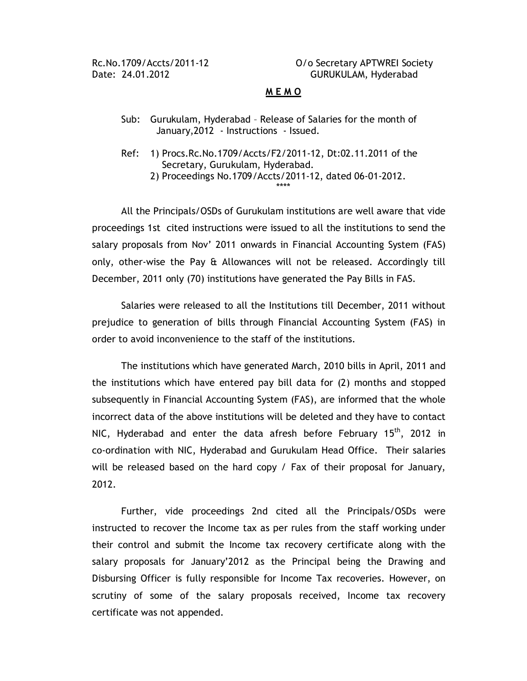Rc.No.1709/Accts/2011-12 O/o Secretary APTWREI Society Date: 24.01.2012 CONNECTRITION GURUKULAM, Hyderabad

## **M E M O**

- Sub: Gurukulam, Hyderabad Release of Salaries for the month of January,2012 - Instructions - Issued.
- Ref: 1) Procs.Rc.No.1709/Accts/F2/2011-12, Dt:02.11.2011 of the Secretary, Gurukulam, Hyderabad. 2) Proceedings No.1709/Accts/2011-12, dated 06-01-2012. \*\*\*\*

All the Principals/OSDs of Gurukulam institutions are well aware that vide proceedings 1st cited instructions were issued to all the institutions to send the salary proposals from Nov' 2011 onwards in Financial Accounting System (FAS) only, other-wise the Pay & Allowances will not be released. Accordingly till December, 2011 only (70) institutions have generated the Pay Bills in FAS.

Salaries were released to all the Institutions till December, 2011 without prejudice to generation of bills through Financial Accounting System (FAS) in order to avoid inconvenience to the staff of the institutions.

The institutions which have generated March, 2010 bills in April, 2011 and the institutions which have entered pay bill data for (2) months and stopped subsequently in Financial Accounting System (FAS), are informed that the whole incorrect data of the above institutions will be deleted and they have to contact NIC, Hyderabad and enter the data afresh before February 15<sup>th</sup>, 2012 in co-ordination with NIC, Hyderabad and Gurukulam Head Office. Their salaries will be released based on the hard copy / Fax of their proposal for January, 2012.

Further, vide proceedings 2nd cited all the Principals/OSDs were instructed to recover the Income tax as per rules from the staff working under their control and submit the Income tax recovery certificate along with the salary proposals for January'2012 as the Principal being the Drawing and Disbursing Officer is fully responsible for Income Tax recoveries. However, on scrutiny of some of the salary proposals received, Income tax recovery certificate was not appended.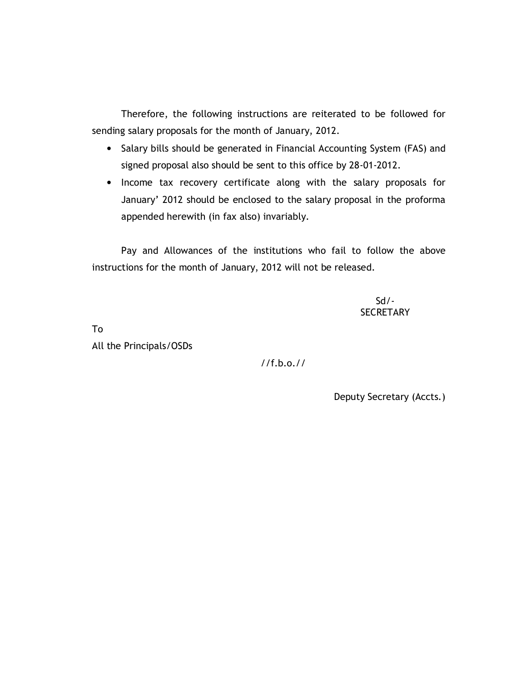Therefore, the following instructions are reiterated to be followed for sending salary proposals for the month of January, 2012.

- Salary bills should be generated in Financial Accounting System (FAS) and signed proposal also should be sent to this office by 28-01-2012.
- Income tax recovery certificate along with the salary proposals for January' 2012 should be enclosed to the salary proposal in the proforma appended herewith (in fax also) invariably.

Pay and Allowances of the institutions who fail to follow the above instructions for the month of January, 2012 will not be released.

> $Sd$  / -**SECRETARY**

To All the Principals/OSDs

//f.b.o.//

Deputy Secretary (Accts.)